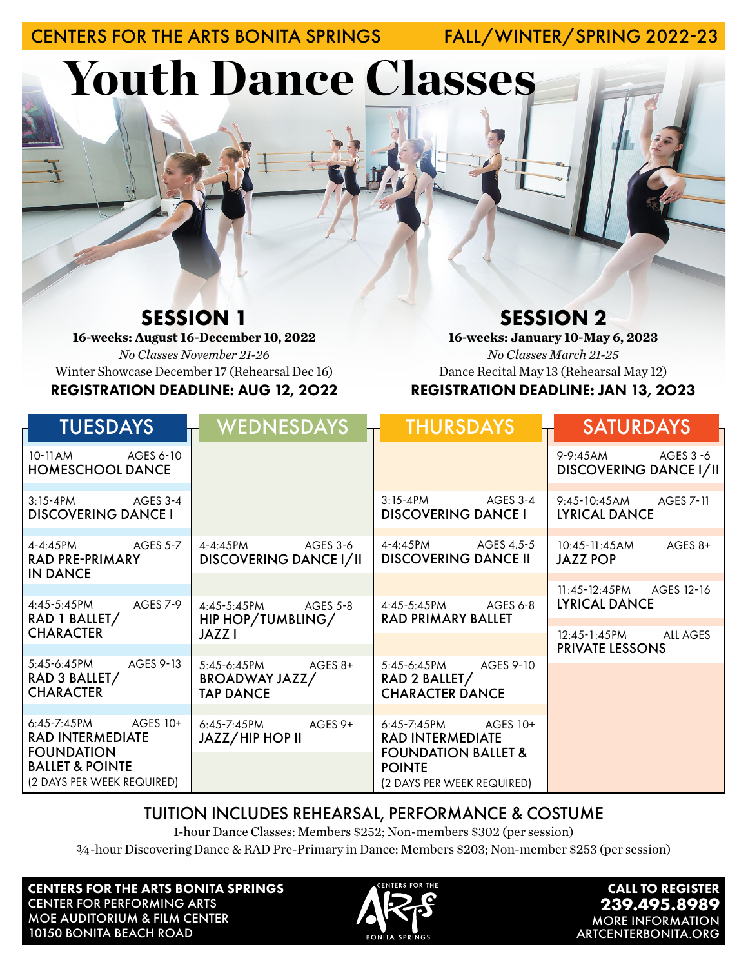CENTERS FOR THE ARTS BONITA SPRINGS FALL/WINTER/SPRING 2022-23

Youth Dance Classes

# **SESSION 1**

**16-weeks: August 16-December 10, 2022** *No Classes November 21-26* Winter Showcase December 17 (Rehearsal Dec 16) REGISTRATION DEADLINE: AUG 12, 2O22

## **SESSION 2**

**16-weeks: January 10-May 6, 2023** *No Classes March 21-25* Dance Recital May 13 (Rehearsal May 12) REGISTRATION DEADLINE: JAN 13, 2O23

| <b>TUESDAYS</b>                                                                                                                  | <b>WEDNESDAYS</b>                                         | <b>THURSDAYS</b>                                                                                                                 | <b>SATURDAYS</b>                                    |
|----------------------------------------------------------------------------------------------------------------------------------|-----------------------------------------------------------|----------------------------------------------------------------------------------------------------------------------------------|-----------------------------------------------------|
| 10-11AM AGES 6-10<br><b>HOMESCHOOL DANCE</b>                                                                                     |                                                           |                                                                                                                                  | 9-9:45AM AGES 3 -6<br><b>DISCOVERING DANCE I/II</b> |
| $3:15-4PM$ $AGES3-4$<br><b>DISCOVERING DANCE I</b>                                                                               |                                                           | $3:15-4PM$ $AGES3-4$<br><b>DISCOVERING DANCE I</b>                                                                               | 9:45-10:45AM AGES 7-11<br><b>LYRICAL DANCE</b>      |
| 4-4:45PM AGES 5-7<br><b>RAD PRE-PRIMARY</b><br><b>IN DANCE</b>                                                                   | $4 - 4.45$ PM $AGFS$ 3-6<br><b>DISCOVERING DANCE I/II</b> | 4-4:45PM AGES 4.5-5<br><b>DISCOVERING DANCE II</b>                                                                               | $AGES 8+$<br>$10:45 - 11:45AM$<br><b>JAZZ POP</b>   |
|                                                                                                                                  |                                                           |                                                                                                                                  | 11:45-12:45PM AGES 12-16                            |
| 4:45-5:45PM AGES 7-9<br>RAD 1 BALLET/                                                                                            | 4:45-5:45PM AGES 5-8<br>HIP HOP/TUMBLING/                 | 4:45-5:45PM AGES 6-8<br><b>RAD PRIMARY BALLET</b>                                                                                | <b>LYRICAL DANCE</b>                                |
| <b>CHARACTER</b>                                                                                                                 | JAZZ I                                                    |                                                                                                                                  | 12:45-1:45PM<br>ALL AGES<br><b>PRIVATE LESSONS</b>  |
| 5:45-6:45PM AGES 9-13<br>RAD 3 BALLET/<br><b>CHARACTER</b>                                                                       | 5:45-6:45PM AGES 8+<br>BROADWAY JAZZ/<br><b>TAP DANCE</b> | 5:45-6:45PM AGES 9-10<br>RAD 2 BALLET/<br><b>CHARACTER DANCE</b>                                                                 |                                                     |
|                                                                                                                                  |                                                           |                                                                                                                                  |                                                     |
| 6:45-7:45PM AGES 10+<br><b>RAD INTERMEDIATE</b><br><b>FOUNDATION</b><br><b>BALLET &amp; POINTE</b><br>(2 DAYS PER WEEK REQUIRED) | 6:45-7:45PM AGES 9+<br>JAZZ/HIP HOP II                    | 6:45-7:45PM AGES 10+<br><b>RAD INTERMEDIATE</b><br><b>FOUNDATION BALLET &amp;</b><br><b>POINTE</b><br>(2 DAYS PER WEEK REQUIRED) |                                                     |

### TUITION INCLUDES REHEARSAL, PERFORMANCE & COSTUME

1-hour Dance Classes: Members \$252; Non-members \$302 (per session)

¾-hour Discovering Dance & RAD Pre-Primary in Dance: Members \$203; Non-member \$253 (per session)

CENTERS FOR THE ARTS BONITA SPRINGS CENTER FOR PERFORMING ARTS MOE AUDITORIUM & FILM CENTER 10150 BONITA BEACH ROAD



CALL TO REGISTER **239.495.8989** MORE INFORMATION ARTCENTERBONITA.ORG